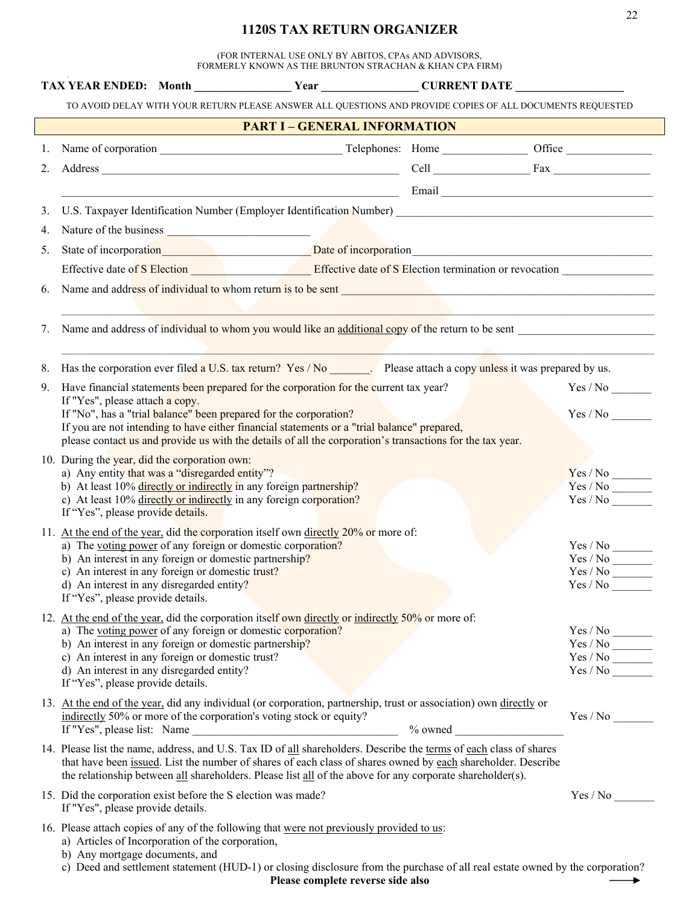## **1120S TAX RETURN ORGANIZER**

22

(FOR INTERNAL USE ONLY BY ABITOS, CPAs AND ADVISORS, FORMERLY KNOWN AS THE BRUNTON STRACHAN & KHAN CPA FIRM)

| TAX YEAR ENDED: Month Year Year CURRENT DATE                                                                                                                                                                                   |                                     |                                                                                                                                                                                                                                      |
|--------------------------------------------------------------------------------------------------------------------------------------------------------------------------------------------------------------------------------|-------------------------------------|--------------------------------------------------------------------------------------------------------------------------------------------------------------------------------------------------------------------------------------|
| TO AVOID DELAY WITH YOUR RETURN PLEASE ANSWER ALL QUESTIONS AND PROVIDE COPIES OF ALL DOCUMENTS REQUESTED                                                                                                                      |                                     |                                                                                                                                                                                                                                      |
|                                                                                                                                                                                                                                | <b>PART I - GENERAL INFORMATION</b> |                                                                                                                                                                                                                                      |
|                                                                                                                                                                                                                                |                                     |                                                                                                                                                                                                                                      |
|                                                                                                                                                                                                                                |                                     |                                                                                                                                                                                                                                      |
|                                                                                                                                                                                                                                |                                     | <u>Email Email and the community of the community of the community of the community of the community of the community of the community of the community of the community of the community of the community of the community of t</u> |
| 3.                                                                                                                                                                                                                             |                                     |                                                                                                                                                                                                                                      |
| Nature of the business <b>Nature of the business</b><br>4.                                                                                                                                                                     |                                     |                                                                                                                                                                                                                                      |
| State of incorporation and the Date of incorporation entering contact the Date of incorporation<br>5.                                                                                                                          |                                     |                                                                                                                                                                                                                                      |
| Effective date of S Election entrance of S Election termination or revocation entrance of S Election entrance of S Election entrance of S Election entrance of S Election entrance of S Election entrance of S Election entran |                                     |                                                                                                                                                                                                                                      |
| Name and address of individual to whom return is to be sent<br><u>Example 2001</u><br>6.                                                                                                                                       |                                     |                                                                                                                                                                                                                                      |
|                                                                                                                                                                                                                                |                                     |                                                                                                                                                                                                                                      |
| Name and address of individual to whom you would like an additional copy of the return to be sent<br>7.                                                                                                                        |                                     |                                                                                                                                                                                                                                      |
|                                                                                                                                                                                                                                |                                     |                                                                                                                                                                                                                                      |
| Has the corporation ever filed a U.S. tax return? Yes / No Please attach a copy unless it was prepared by us.<br>8.                                                                                                            |                                     |                                                                                                                                                                                                                                      |
| Have financial statements been prepared for the corporation for the current tax year?<br>9.                                                                                                                                    |                                     |                                                                                                                                                                                                                                      |
| If "Yes", please attach a copy.<br>If "No", has a "trial balance" been prepared for the corporation?                                                                                                                           |                                     | Yes / No                                                                                                                                                                                                                             |
| If you are not intending to have either financial statements or a "trial balance" prepared,                                                                                                                                    |                                     |                                                                                                                                                                                                                                      |
| please contact us and provide us with the details of all the corporation's transactions for the tax year.                                                                                                                      |                                     |                                                                                                                                                                                                                                      |
| 10. During the year, did the corporation own:                                                                                                                                                                                  |                                     |                                                                                                                                                                                                                                      |
| a) Any entity that was a "disregarded entity"?                                                                                                                                                                                 |                                     | Yes / No                                                                                                                                                                                                                             |
| b) At least 10% directly or indirectly in any foreign partnership?<br>c) At least 10% directly or indirectly in any foreign corporation?                                                                                       |                                     | Yes / No                                                                                                                                                                                                                             |
| If "Yes", please provide details.                                                                                                                                                                                              |                                     |                                                                                                                                                                                                                                      |
| 11. At the end of the year, did the corporation itself own directly 20% or more of:                                                                                                                                            |                                     |                                                                                                                                                                                                                                      |
| a) The voting power of any foreign or domestic corporation?                                                                                                                                                                    |                                     | $Yes$ / $No$ ________                                                                                                                                                                                                                |
| b) An interest in any foreign or domestic partnership?                                                                                                                                                                         |                                     |                                                                                                                                                                                                                                      |
| c) An interest in any foreign or domestic trust?                                                                                                                                                                               |                                     | $Yes / No \_\_$                                                                                                                                                                                                                      |
| d) An interest in any disregarded entity?<br>If "Yes", please provide details.                                                                                                                                                 |                                     | Yes / No                                                                                                                                                                                                                             |
| 12. At the end of the year, did the corporation itself own directly or indirectly 50% or more of:                                                                                                                              |                                     |                                                                                                                                                                                                                                      |
| a) The voting power of any foreign or domestic corporation?                                                                                                                                                                    |                                     | $\frac{\text{Yes} / \text{No}}{\text{Yes} / \text{No}}$                                                                                                                                                                              |
| b) An interest in any foreign or domestic partnership?                                                                                                                                                                         |                                     |                                                                                                                                                                                                                                      |
| c) An interest in any foreign or domestic trust?                                                                                                                                                                               |                                     | $\mathrm{Yes}\,/\,\mathrm{No}\,\_\!\_\!\_\!\_$                                                                                                                                                                                       |
| d) An interest in any disregarded entity?<br>If "Yes", please provide details.                                                                                                                                                 |                                     | Yes / No                                                                                                                                                                                                                             |
| 13. At the end of the year, did any individual (or corporation, partnership, trust or association) own directly or                                                                                                             |                                     |                                                                                                                                                                                                                                      |
| indirectly 50% or more of the corporation's voting stock or equity?                                                                                                                                                            |                                     | Yes / No                                                                                                                                                                                                                             |
| If "Yes", please list: Name                                                                                                                                                                                                    |                                     |                                                                                                                                                                                                                                      |
| 14. Please list the name, address, and U.S. Tax ID of all shareholders. Describe the terms of each class of shares                                                                                                             |                                     |                                                                                                                                                                                                                                      |
| that have been issued. List the number of shares of each class of shares owned by each shareholder. Describe                                                                                                                   |                                     |                                                                                                                                                                                                                                      |
| the relationship between all shareholders. Please list all of the above for any corporate shareholder(s).                                                                                                                      |                                     |                                                                                                                                                                                                                                      |
| 15. Did the corporation exist before the S election was made?                                                                                                                                                                  |                                     |                                                                                                                                                                                                                                      |
| If "Yes", please provide details.                                                                                                                                                                                              |                                     |                                                                                                                                                                                                                                      |
| 16. Please attach copies of any of the following that were not previously provided to us:                                                                                                                                      |                                     |                                                                                                                                                                                                                                      |
| a) Articles of Incorporation of the corporation,                                                                                                                                                                               |                                     |                                                                                                                                                                                                                                      |
| b) Any mortgage documents, and<br>c) Deed and settlement statement (HUD-1) or closing disclosure from the purchase of all real estate owned by the corporation?                                                                |                                     |                                                                                                                                                                                                                                      |
|                                                                                                                                                                                                                                | Please complete reverse side also   |                                                                                                                                                                                                                                      |